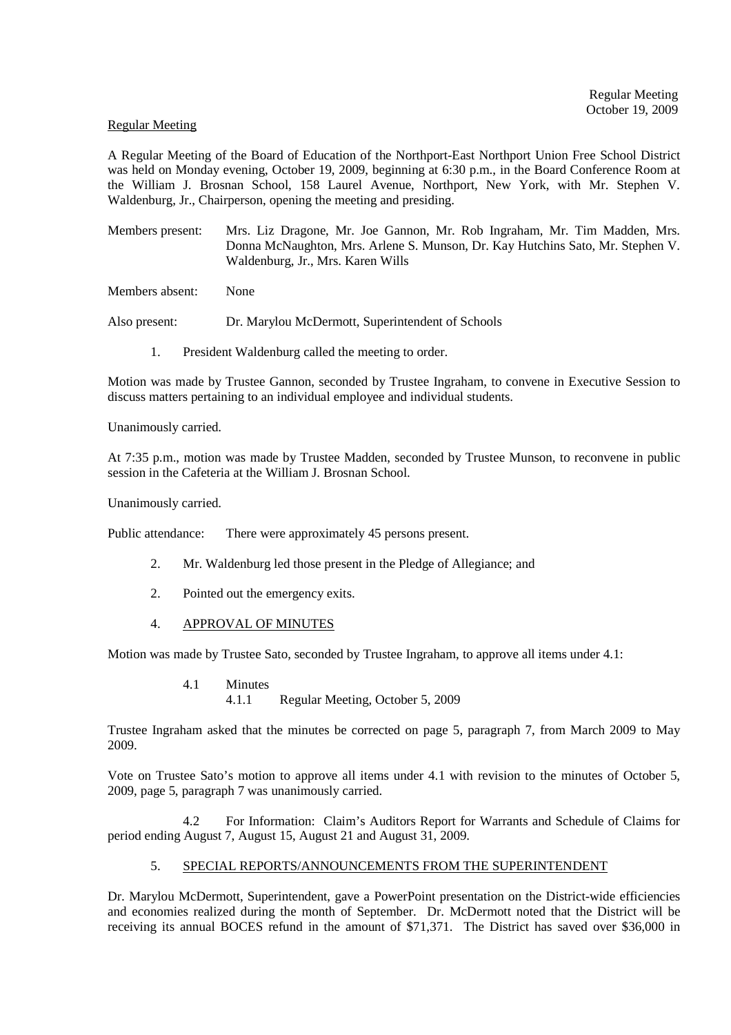#### Regular Meeting

A Regular Meeting of the Board of Education of the Northport-East Northport Union Free School District was held on Monday evening, October 19, 2009, beginning at 6:30 p.m., in the Board Conference Room at the William J. Brosnan School, 158 Laurel Avenue, Northport, New York, with Mr. Stephen V. Waldenburg, Jr., Chairperson, opening the meeting and presiding.

Members present: Mrs. Liz Dragone, Mr. Joe Gannon, Mr. Rob Ingraham, Mr. Tim Madden, Mrs. Donna McNaughton, Mrs. Arlene S. Munson, Dr. Kay Hutchins Sato, Mr. Stephen V. Waldenburg, Jr., Mrs. Karen Wills

Members absent: None

Also present: Dr. Marylou McDermott, Superintendent of Schools

1. President Waldenburg called the meeting to order.

Motion was made by Trustee Gannon, seconded by Trustee Ingraham, to convene in Executive Session to discuss matters pertaining to an individual employee and individual students.

Unanimously carried.

At 7:35 p.m., motion was made by Trustee Madden, seconded by Trustee Munson, to reconvene in public session in the Cafeteria at the William J. Brosnan School.

Unanimously carried.

Public attendance: There were approximately 45 persons present.

- 2. Mr. Waldenburg led those present in the Pledge of Allegiance; and
- 2. Pointed out the emergency exits.
- 4. APPROVAL OF MINUTES

Motion was made by Trustee Sato, seconded by Trustee Ingraham, to approve all items under 4.1:

4.1 Minutes 4.1.1 Regular Meeting, October 5, 2009

Trustee Ingraham asked that the minutes be corrected on page 5, paragraph 7, from March 2009 to May 2009.

Vote on Trustee Sato's motion to approve all items under 4.1 with revision to the minutes of October 5, 2009, page 5, paragraph 7 was unanimously carried.

 4.2 For Information: Claim's Auditors Report for Warrants and Schedule of Claims for period ending August 7, August 15, August 21 and August 31, 2009.

# 5. SPECIAL REPORTS/ANNOUNCEMENTS FROM THE SUPERINTENDENT

Dr. Marylou McDermott, Superintendent, gave a PowerPoint presentation on the District-wide efficiencies and economies realized during the month of September. Dr. McDermott noted that the District will be receiving its annual BOCES refund in the amount of \$71,371. The District has saved over \$36,000 in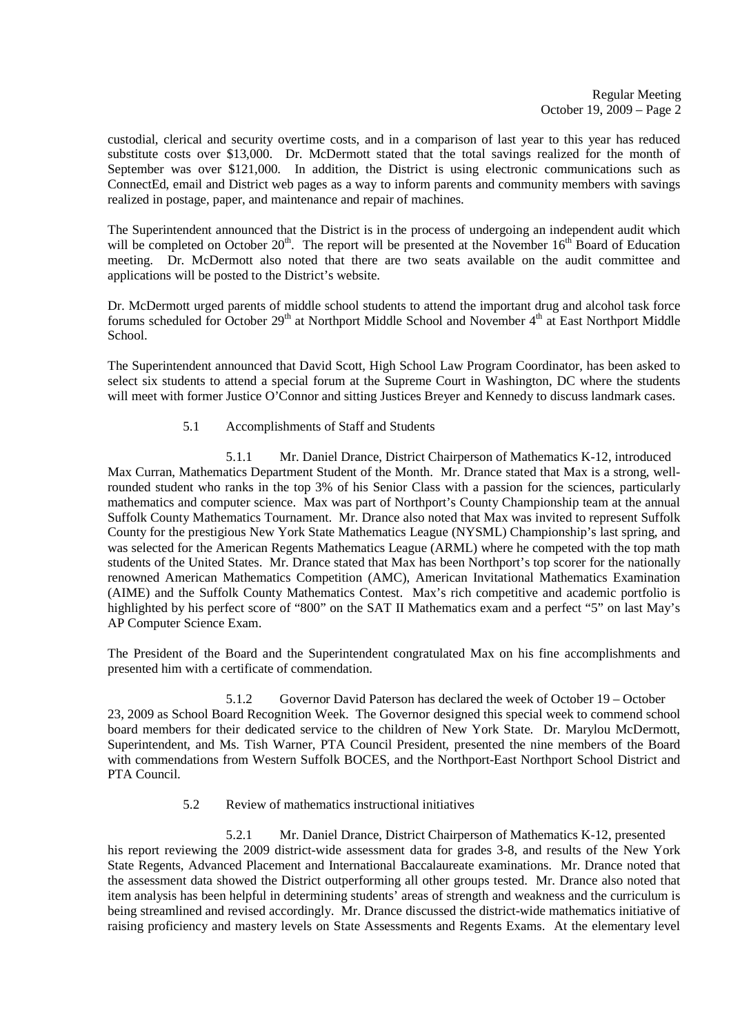custodial, clerical and security overtime costs, and in a comparison of last year to this year has reduced substitute costs over \$13,000. Dr. McDermott stated that the total savings realized for the month of September was over \$121,000. In addition, the District is using electronic communications such as ConnectEd, email and District web pages as a way to inform parents and community members with savings realized in postage, paper, and maintenance and repair of machines.

The Superintendent announced that the District is in the process of undergoing an independent audit which will be completed on October  $20<sup>th</sup>$ . The report will be presented at the November  $16<sup>th</sup>$  Board of Education meeting. Dr. McDermott also noted that there are two seats available on the audit committee and applications will be posted to the District's website.

Dr. McDermott urged parents of middle school students to attend the important drug and alcohol task force forums scheduled for October 29<sup>th</sup> at Northport Middle School and November 4<sup>th</sup> at East Northport Middle School.

The Superintendent announced that David Scott, High School Law Program Coordinator, has been asked to select six students to attend a special forum at the Supreme Court in Washington, DC where the students will meet with former Justice O'Connor and sitting Justices Breyer and Kennedy to discuss landmark cases.

5.1 Accomplishments of Staff and Students

 5.1.1 Mr. Daniel Drance, District Chairperson of Mathematics K-12, introduced Max Curran, Mathematics Department Student of the Month. Mr. Drance stated that Max is a strong, wellrounded student who ranks in the top 3% of his Senior Class with a passion for the sciences, particularly mathematics and computer science. Max was part of Northport's County Championship team at the annual Suffolk County Mathematics Tournament. Mr. Drance also noted that Max was invited to represent Suffolk County for the prestigious New York State Mathematics League (NYSML) Championship's last spring, and was selected for the American Regents Mathematics League (ARML) where he competed with the top math students of the United States. Mr. Drance stated that Max has been Northport's top scorer for the nationally renowned American Mathematics Competition (AMC), American Invitational Mathematics Examination (AIME) and the Suffolk County Mathematics Contest. Max's rich competitive and academic portfolio is highlighted by his perfect score of "800" on the SAT II Mathematics exam and a perfect "5" on last May's AP Computer Science Exam.

The President of the Board and the Superintendent congratulated Max on his fine accomplishments and presented him with a certificate of commendation.

 5.1.2 Governor David Paterson has declared the week of October 19 – October 23, 2009 as School Board Recognition Week. The Governor designed this special week to commend school board members for their dedicated service to the children of New York State. Dr. Marylou McDermott, Superintendent, and Ms. Tish Warner, PTA Council President, presented the nine members of the Board with commendations from Western Suffolk BOCES, and the Northport-East Northport School District and PTA Council.

5.2 Review of mathematics instructional initiatives

 5.2.1 Mr. Daniel Drance, District Chairperson of Mathematics K-12, presented his report reviewing the 2009 district-wide assessment data for grades 3-8, and results of the New York State Regents, Advanced Placement and International Baccalaureate examinations. Mr. Drance noted that the assessment data showed the District outperforming all other groups tested. Mr. Drance also noted that item analysis has been helpful in determining students' areas of strength and weakness and the curriculum is being streamlined and revised accordingly. Mr. Drance discussed the district-wide mathematics initiative of raising proficiency and mastery levels on State Assessments and Regents Exams. At the elementary level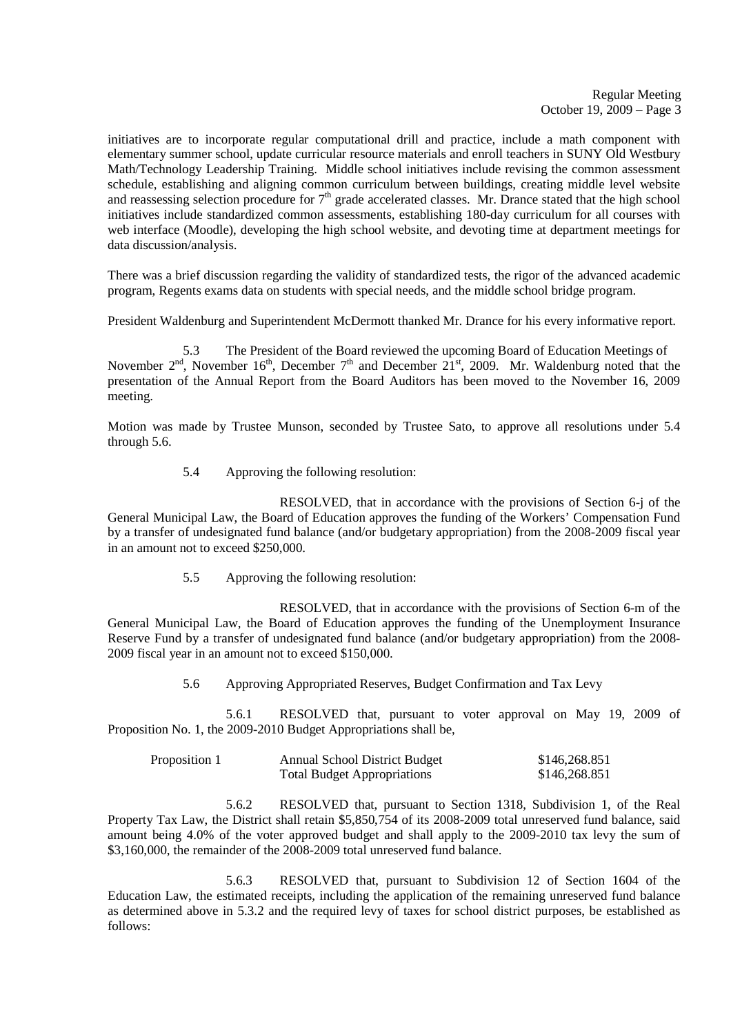initiatives are to incorporate regular computational drill and practice, include a math component with elementary summer school, update curricular resource materials and enroll teachers in SUNY Old Westbury Math/Technology Leadership Training. Middle school initiatives include revising the common assessment schedule, establishing and aligning common curriculum between buildings, creating middle level website and reassessing selection procedure for  $7<sup>th</sup>$  grade accelerated classes. Mr. Drance stated that the high school initiatives include standardized common assessments, establishing 180-day curriculum for all courses with web interface (Moodle), developing the high school website, and devoting time at department meetings for data discussion/analysis.

There was a brief discussion regarding the validity of standardized tests, the rigor of the advanced academic program, Regents exams data on students with special needs, and the middle school bridge program.

President Waldenburg and Superintendent McDermott thanked Mr. Drance for his every informative report.

5.3 The President of the Board reviewed the upcoming Board of Education Meetings of November  $2<sup>nd</sup>$ , November  $16<sup>th</sup>$ , December  $7<sup>th</sup>$  and December  $21<sup>st</sup>$ , 2009. Mr. Waldenburg noted that the presentation of the Annual Report from the Board Auditors has been moved to the November 16, 2009 meeting.

Motion was made by Trustee Munson, seconded by Trustee Sato, to approve all resolutions under 5.4 through 5.6.

5.4 Approving the following resolution:

 RESOLVED, that in accordance with the provisions of Section 6-j of the General Municipal Law, the Board of Education approves the funding of the Workers' Compensation Fund by a transfer of undesignated fund balance (and/or budgetary appropriation) from the 2008-2009 fiscal year in an amount not to exceed \$250,000.

5.5 Approving the following resolution:

 RESOLVED, that in accordance with the provisions of Section 6-m of the General Municipal Law, the Board of Education approves the funding of the Unemployment Insurance Reserve Fund by a transfer of undesignated fund balance (and/or budgetary appropriation) from the 2008- 2009 fiscal year in an amount not to exceed \$150,000.

5.6 Approving Appropriated Reserves, Budget Confirmation and Tax Levy

 5.6.1 RESOLVED that, pursuant to voter approval on May 19, 2009 of Proposition No. 1, the 2009-2010 Budget Appropriations shall be,

| Proposition 1 | <b>Annual School District Budget</b> | \$146,268.851 |
|---------------|--------------------------------------|---------------|
|               | <b>Total Budget Appropriations</b>   | \$146,268.851 |

 5.6.2 RESOLVED that, pursuant to Section 1318, Subdivision 1, of the Real Property Tax Law, the District shall retain \$5,850,754 of its 2008-2009 total unreserved fund balance, said amount being 4.0% of the voter approved budget and shall apply to the 2009-2010 tax levy the sum of \$3,160,000, the remainder of the 2008-2009 total unreserved fund balance.

 5.6.3 RESOLVED that, pursuant to Subdivision 12 of Section 1604 of the Education Law, the estimated receipts, including the application of the remaining unreserved fund balance as determined above in 5.3.2 and the required levy of taxes for school district purposes, be established as follows: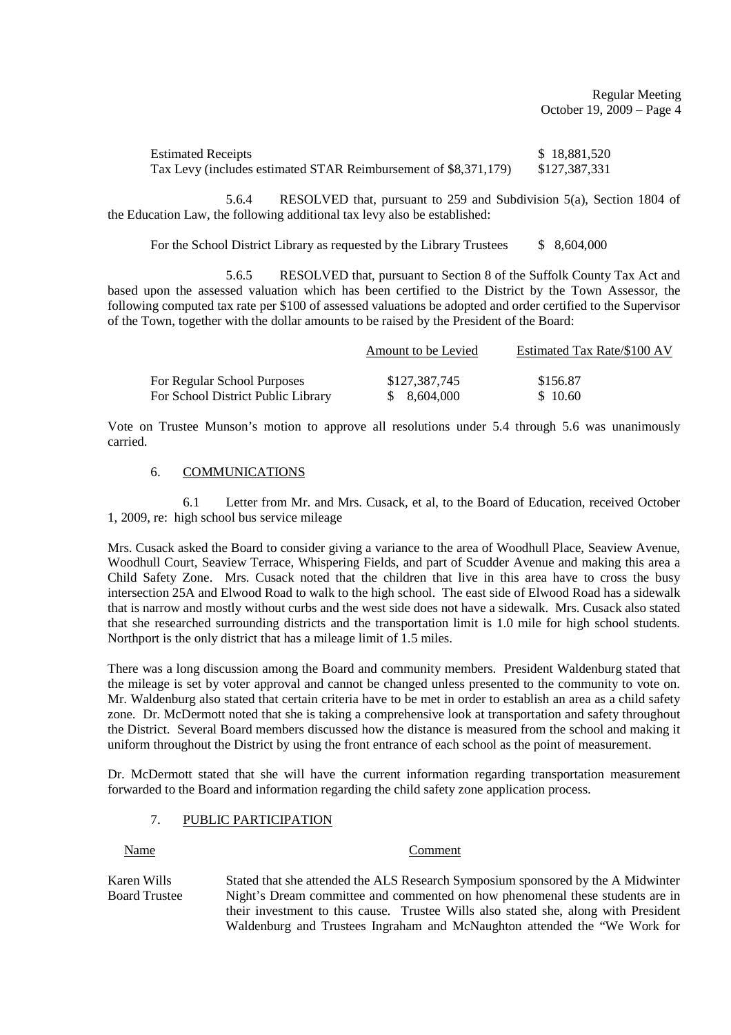Regular Meeting October 19, 2009 – Page 4

| <b>Estimated Receipts</b>                                       | \$18,881,520  |
|-----------------------------------------------------------------|---------------|
| Tax Levy (includes estimated STAR Reimbursement of \$8,371,179) | \$127,387,331 |

 5.6.4 RESOLVED that, pursuant to 259 and Subdivision 5(a), Section 1804 of the Education Law, the following additional tax levy also be established:

For the School District Library as requested by the Library Trustees  $$8,604,000$ 

 5.6.5 RESOLVED that, pursuant to Section 8 of the Suffolk County Tax Act and based upon the assessed valuation which has been certified to the District by the Town Assessor, the following computed tax rate per \$100 of assessed valuations be adopted and order certified to the Supervisor of the Town, together with the dollar amounts to be raised by the President of the Board:

|                                    | Amount to be Levied | Estimated Tax Rate/\$100 AV |
|------------------------------------|---------------------|-----------------------------|
| For Regular School Purposes        | \$127,387,745       | \$156.87                    |
| For School District Public Library | \$ 8.604,000        | \$10.60                     |

Vote on Trustee Munson's motion to approve all resolutions under 5.4 through 5.6 was unanimously carried.

#### 6. COMMUNICATIONS

 6.1 Letter from Mr. and Mrs. Cusack, et al, to the Board of Education, received October 1, 2009, re: high school bus service mileage

Mrs. Cusack asked the Board to consider giving a variance to the area of Woodhull Place, Seaview Avenue, Woodhull Court, Seaview Terrace, Whispering Fields, and part of Scudder Avenue and making this area a Child Safety Zone. Mrs. Cusack noted that the children that live in this area have to cross the busy intersection 25A and Elwood Road to walk to the high school. The east side of Elwood Road has a sidewalk that is narrow and mostly without curbs and the west side does not have a sidewalk. Mrs. Cusack also stated that she researched surrounding districts and the transportation limit is 1.0 mile for high school students. Northport is the only district that has a mileage limit of 1.5 miles.

There was a long discussion among the Board and community members. President Waldenburg stated that the mileage is set by voter approval and cannot be changed unless presented to the community to vote on. Mr. Waldenburg also stated that certain criteria have to be met in order to establish an area as a child safety zone. Dr. McDermott noted that she is taking a comprehensive look at transportation and safety throughout the District. Several Board members discussed how the distance is measured from the school and making it uniform throughout the District by using the front entrance of each school as the point of measurement.

Dr. McDermott stated that she will have the current information regarding transportation measurement forwarded to the Board and information regarding the child safety zone application process.

# 7. PUBLIC PARTICIPATION

#### Name Comment

Karen Wills Stated that she attended the ALS Research Symposium sponsored by the A Midwinter Board Trustee Night's Dream committee and commented on how phenomenal these students are in their investment to this cause. Trustee Wills also stated she, along with President Waldenburg and Trustees Ingraham and McNaughton attended the "We Work for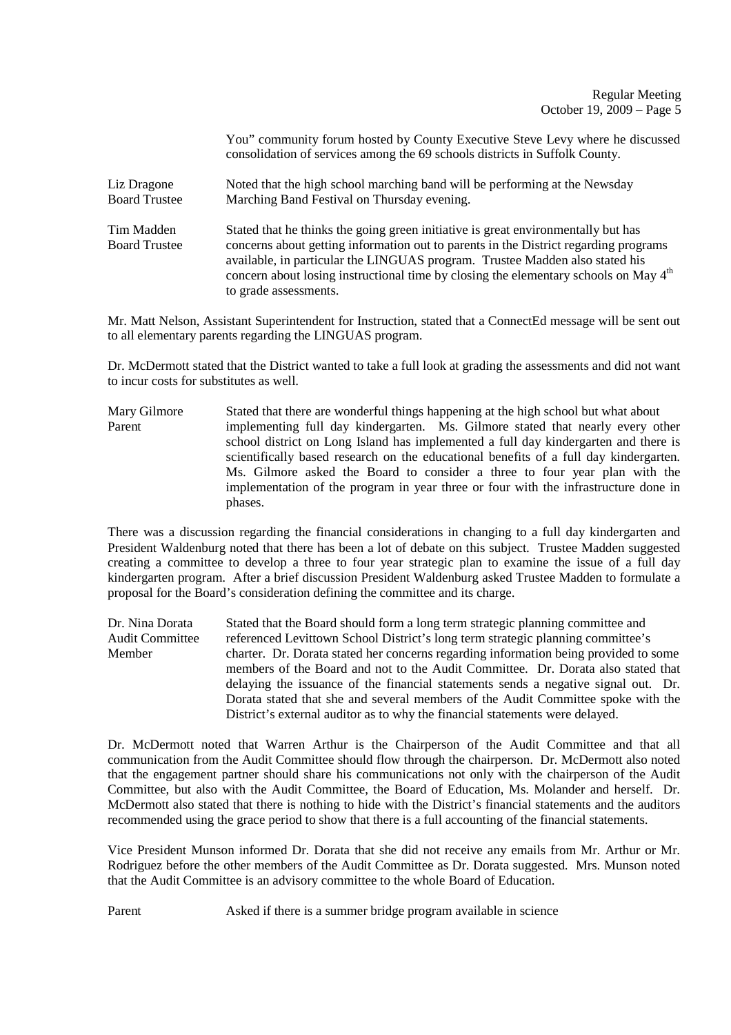### Regular Meeting October 19, 2009 – Page 5

You" community forum hosted by County Executive Steve Levy where he discussed consolidation of services among the 69 schools districts in Suffolk County. Liz Dragone Noted that the high school marching band will be performing at the Newsday Board Trustee Marching Band Festival on Thursday evening. Marching Band Festival on Thursday evening. Tim Madden Stated that he thinks the going green initiative is great environmentally but has Board Trustee concerns about getting information out to parents in the District regarding programs available, in particular the LINGUAS program. Trustee Madden also stated his concern about losing instructional time by closing the elementary schools on May  $4<sup>th</sup>$ to grade assessments.

Mr. Matt Nelson, Assistant Superintendent for Instruction, stated that a ConnectEd message will be sent out to all elementary parents regarding the LINGUAS program.

Dr. McDermott stated that the District wanted to take a full look at grading the assessments and did not want to incur costs for substitutes as well.

Mary Gilmore Stated that there are wonderful things happening at the high school but what about Parent implementing full day kindergarten. Ms. Gilmore stated that nearly every other school district on Long Island has implemented a full day kindergarten and there is scientifically based research on the educational benefits of a full day kindergarten. Ms. Gilmore asked the Board to consider a three to four year plan with the implementation of the program in year three or four with the infrastructure done in phases.

There was a discussion regarding the financial considerations in changing to a full day kindergarten and President Waldenburg noted that there has been a lot of debate on this subject. Trustee Madden suggested creating a committee to develop a three to four year strategic plan to examine the issue of a full day kindergarten program. After a brief discussion President Waldenburg asked Trustee Madden to formulate a proposal for the Board's consideration defining the committee and its charge.

Dr. Nina Dorata Stated that the Board should form a long term strategic planning committee and<br>Audit Committee referenced Levittown School District's long term strategic planning committee's referenced Levittown School District's long term strategic planning committee's Member charter. Dr. Dorata stated her concerns regarding information being provided to some members of the Board and not to the Audit Committee. Dr. Dorata also stated that delaying the issuance of the financial statements sends a negative signal out. Dr. Dorata stated that she and several members of the Audit Committee spoke with the District's external auditor as to why the financial statements were delayed.

Dr. McDermott noted that Warren Arthur is the Chairperson of the Audit Committee and that all communication from the Audit Committee should flow through the chairperson. Dr. McDermott also noted that the engagement partner should share his communications not only with the chairperson of the Audit Committee, but also with the Audit Committee, the Board of Education, Ms. Molander and herself. Dr. McDermott also stated that there is nothing to hide with the District's financial statements and the auditors recommended using the grace period to show that there is a full accounting of the financial statements.

Vice President Munson informed Dr. Dorata that she did not receive any emails from Mr. Arthur or Mr. Rodriguez before the other members of the Audit Committee as Dr. Dorata suggested. Mrs. Munson noted that the Audit Committee is an advisory committee to the whole Board of Education.

Parent Asked if there is a summer bridge program available in science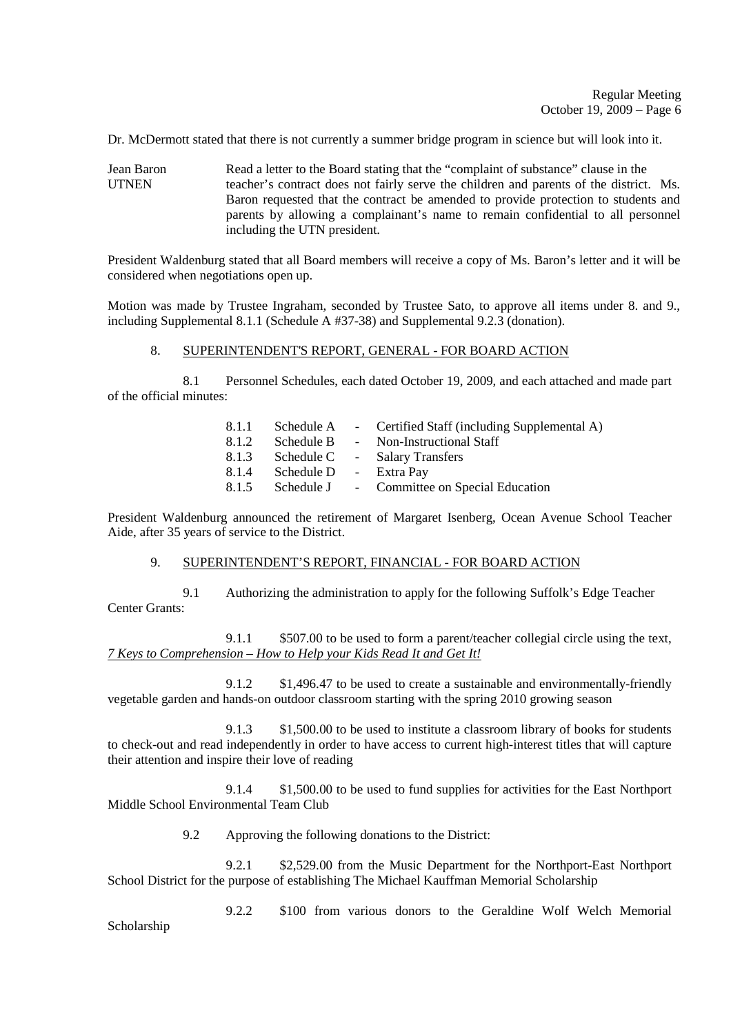Dr. McDermott stated that there is not currently a summer bridge program in science but will look into it.

Jean Baron Read a letter to the Board stating that the "complaint of substance" clause in the UTNEN teacher's contract does not fairly serve the children and parents of the district. Ms. Baron requested that the contract be amended to provide protection to students and parents by allowing a complainant's name to remain confidential to all personnel including the UTN president.

President Waldenburg stated that all Board members will receive a copy of Ms. Baron's letter and it will be considered when negotiations open up.

Motion was made by Trustee Ingraham, seconded by Trustee Sato, to approve all items under 8. and 9., including Supplemental 8.1.1 (Schedule A #37-38) and Supplemental 9.2.3 (donation).

### 8. SUPERINTENDENT'S REPORT, GENERAL - FOR BOARD ACTION

 8.1 Personnel Schedules, each dated October 19, 2009, and each attached and made part of the official minutes:

| - Certified Staff (including Supplemental A)         |
|------------------------------------------------------|
| - Non-Instructional Staff                            |
| - Salary Transfers                                   |
| - Extra Pay                                          |
| Schedule J - Committee on Special Education          |
| Schedule A<br>Schedule B<br>Schedule C<br>Schedule D |

President Waldenburg announced the retirement of Margaret Isenberg, Ocean Avenue School Teacher Aide, after 35 years of service to the District.

#### 9. SUPERINTENDENT'S REPORT, FINANCIAL - FOR BOARD ACTION

 9.1 Authorizing the administration to apply for the following Suffolk's Edge Teacher Center Grants:

 9.1.1 \$507.00 to be used to form a parent/teacher collegial circle using the text, *7 Keys to Comprehension – How to Help your Kids Read It and Get It!*

 9.1.2 \$1,496.47 to be used to create a sustainable and environmentally-friendly vegetable garden and hands-on outdoor classroom starting with the spring 2010 growing season

 9.1.3 \$1,500.00 to be used to institute a classroom library of books for students to check-out and read independently in order to have access to current high-interest titles that will capture their attention and inspire their love of reading

 9.1.4 \$1,500.00 to be used to fund supplies for activities for the East Northport Middle School Environmental Team Club

9.2 Approving the following donations to the District:

 9.2.1 \$2,529.00 from the Music Department for the Northport-East Northport School District for the purpose of establishing The Michael Kauffman Memorial Scholarship

 9.2.2 \$100 from various donors to the Geraldine Wolf Welch Memorial Scholarship